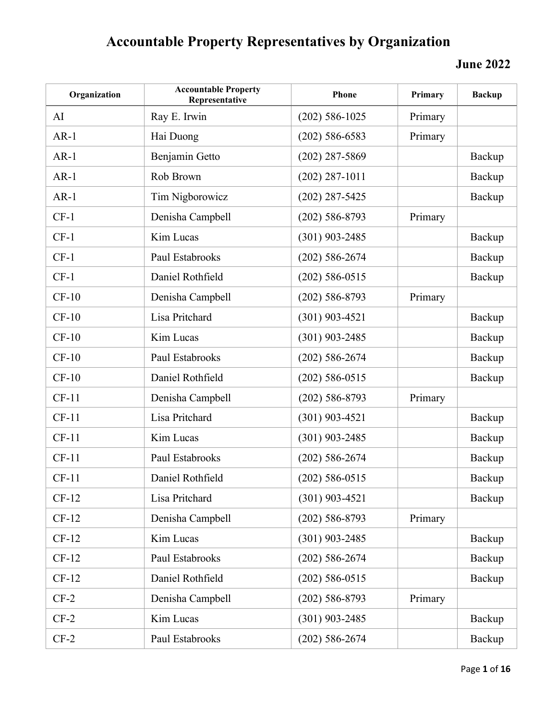| Organization | <b>Accountable Property</b><br>Representative | <b>Phone</b>       | Primary | <b>Backup</b> |
|--------------|-----------------------------------------------|--------------------|---------|---------------|
| AI           | Ray E. Irwin                                  | $(202)$ 586-1025   | Primary |               |
| $AR-1$       | Hai Duong                                     | $(202)$ 586-6583   | Primary |               |
| $AR-1$       | Benjamin Getto                                | $(202)$ 287-5869   |         | Backup        |
| $AR-1$       | Rob Brown                                     | $(202)$ 287-1011   |         | Backup        |
| $AR-1$       | Tim Nigborowicz                               | $(202)$ 287-5425   |         | Backup        |
| $CF-1$       | Denisha Campbell                              | $(202) 586 - 8793$ | Primary |               |
| $CF-1$       | Kim Lucas                                     | $(301)$ 903-2485   |         | Backup        |
| $CF-1$       | Paul Estabrooks                               | $(202)$ 586-2674   |         | Backup        |
| $CF-1$       | Daniel Rothfield                              | $(202)$ 586-0515   |         | Backup        |
| $CF-10$      | Denisha Campbell                              | $(202)$ 586-8793   | Primary |               |
| $CF-10$      | Lisa Pritchard                                | $(301)$ 903-4521   |         | Backup        |
| $CF-10$      | Kim Lucas                                     | $(301)$ 903-2485   |         | Backup        |
| $CF-10$      | Paul Estabrooks                               | $(202)$ 586-2674   |         | Backup        |
| $CF-10$      | Daniel Rothfield                              | $(202)$ 586-0515   |         | Backup        |
| $CF-11$      | Denisha Campbell                              | $(202)$ 586-8793   | Primary |               |
| $CF-11$      | Lisa Pritchard                                | $(301)$ 903-4521   |         | Backup        |
| $CF-11$      | Kim Lucas                                     | $(301)$ 903-2485   |         | Backup        |
| $CF-11$      | Paul Estabrooks                               | $(202) 586 - 2674$ |         | Backup        |
| $CF-11$      | Daniel Rothfield                              | $(202)$ 586-0515   |         | Backup        |
| $CF-12$      | Lisa Pritchard                                | $(301)$ 903-4521   |         | Backup        |
| $CF-12$      | Denisha Campbell                              | $(202)$ 586-8793   | Primary |               |
| $CF-12$      | Kim Lucas                                     | $(301)$ 903-2485   |         | Backup        |
| $CF-12$      | Paul Estabrooks                               | $(202)$ 586-2674   |         | Backup        |
| $CF-12$      | Daniel Rothfield                              | $(202)$ 586-0515   |         | Backup        |
| $CF-2$       | Denisha Campbell                              | $(202)$ 586-8793   | Primary |               |
| $CF-2$       | Kim Lucas                                     | $(301)$ 903-2485   |         | Backup        |
| $CF-2$       | Paul Estabrooks                               | $(202) 586 - 2674$ |         | Backup        |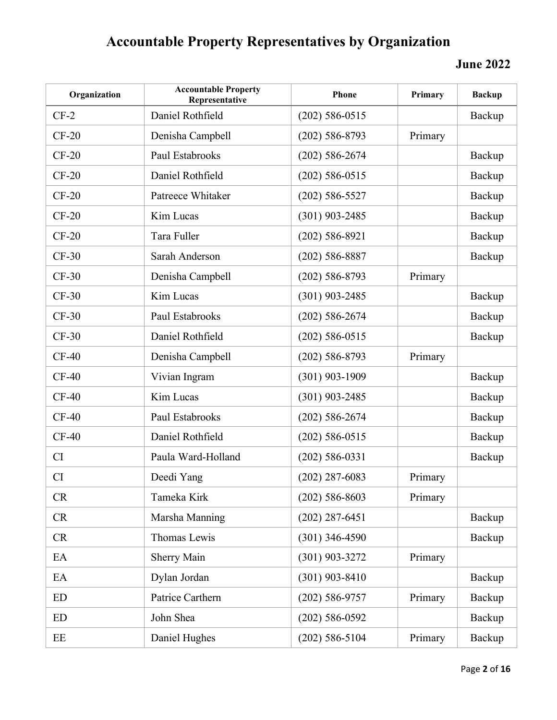| Organization | <b>Accountable Property</b><br>Representative | Phone              | Primary | <b>Backup</b> |
|--------------|-----------------------------------------------|--------------------|---------|---------------|
| $CF-2$       | Daniel Rothfield                              | $(202)$ 586-0515   |         | Backup        |
| $CF-20$      | Denisha Campbell                              | $(202)$ 586-8793   | Primary |               |
| $CF-20$      | Paul Estabrooks                               | $(202) 586 - 2674$ |         | Backup        |
| $CF-20$      | Daniel Rothfield                              | $(202)$ 586-0515   |         | Backup        |
| $CF-20$      | Patreece Whitaker                             | $(202)$ 586-5527   |         | Backup        |
| $CF-20$      | Kim Lucas                                     | $(301)$ 903-2485   |         | Backup        |
| $CF-20$      | Tara Fuller                                   | $(202)$ 586-8921   |         | Backup        |
| $CF-30$      | Sarah Anderson                                | $(202)$ 586-8887   |         | Backup        |
| $CF-30$      | Denisha Campbell                              | $(202)$ 586-8793   | Primary |               |
| $CF-30$      | Kim Lucas                                     | $(301)$ 903-2485   |         | Backup        |
| $CF-30$      | Paul Estabrooks                               | $(202)$ 586-2674   |         | Backup        |
| $CF-30$      | Daniel Rothfield                              | $(202)$ 586-0515   |         | Backup        |
| $CF-40$      | Denisha Campbell                              | $(202)$ 586-8793   | Primary |               |
| $CF-40$      | Vivian Ingram                                 | $(301)$ 903-1909   |         | Backup        |
| $CF-40$      | Kim Lucas                                     | $(301)$ 903-2485   |         | Backup        |
| $CF-40$      | Paul Estabrooks                               | $(202) 586 - 2674$ |         | Backup        |
| $CF-40$      | Daniel Rothfield                              | $(202)$ 586-0515   |         | Backup        |
| CI           | Paula Ward-Holland                            | $(202)$ 586-0331   |         | Backup        |
| CI           | Deedi Yang                                    | $(202)$ 287-6083   | Primary |               |
| <b>CR</b>    | Tameka Kirk                                   | $(202)$ 586-8603   | Primary |               |
| <b>CR</b>    | Marsha Manning                                | $(202)$ 287-6451   |         | Backup        |
| <b>CR</b>    | Thomas Lewis                                  | $(301)$ 346-4590   |         | Backup        |
| EA           | <b>Sherry Main</b>                            | $(301)$ 903-3272   | Primary |               |
| EA           | Dylan Jordan                                  | $(301)$ 903-8410   |         | Backup        |
| ED           | Patrice Carthern                              | $(202)$ 586-9757   | Primary | Backup        |
| <b>ED</b>    | John Shea                                     | $(202)$ 586-0592   |         | Backup        |
| EE           | Daniel Hughes                                 | $(202)$ 586-5104   | Primary | Backup        |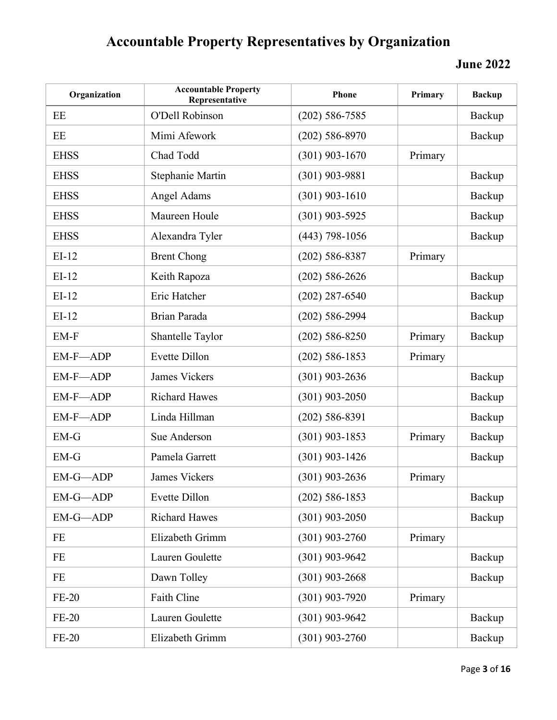| Organization | <b>Accountable Property</b><br>Representative | <b>Phone</b>     | Primary | <b>Backup</b> |
|--------------|-----------------------------------------------|------------------|---------|---------------|
| EE           | O'Dell Robinson                               | $(202)$ 586-7585 |         | Backup        |
| EE           | Mimi Afework                                  | $(202)$ 586-8970 |         | Backup        |
| <b>EHSS</b>  | Chad Todd                                     | $(301)$ 903-1670 | Primary |               |
| <b>EHSS</b>  | Stephanie Martin                              | $(301)$ 903-9881 |         | Backup        |
| <b>EHSS</b>  | Angel Adams                                   | $(301)$ 903-1610 |         | Backup        |
| <b>EHSS</b>  | Maureen Houle                                 | $(301)$ 903-5925 |         | Backup        |
| <b>EHSS</b>  | Alexandra Tyler                               | $(443)$ 798-1056 |         | Backup        |
| $EI-12$      | <b>Brent Chong</b>                            | $(202)$ 586-8387 | Primary |               |
| $EI-12$      | Keith Rapoza                                  | $(202)$ 586-2626 |         | Backup        |
| $EI-12$      | Eric Hatcher                                  | $(202)$ 287-6540 |         | Backup        |
| $EI-12$      | Brian Parada                                  | $(202)$ 586-2994 |         | Backup        |
| EM-F         | Shantelle Taylor                              | $(202)$ 586-8250 | Primary | Backup        |
| EM-F-ADP     | Evette Dillon                                 | $(202)$ 586-1853 | Primary |               |
| EM-F-ADP     | <b>James Vickers</b>                          | $(301)$ 903-2636 |         | Backup        |
| EM-F-ADP     | <b>Richard Hawes</b>                          | $(301)$ 903-2050 |         | Backup        |
| EM-F-ADP     | Linda Hillman                                 | $(202)$ 586-8391 |         | Backup        |
| $EM-G$       | Sue Anderson                                  | $(301)$ 903-1853 | Primary | Backup        |
| $EM-G$       | Pamela Garrett                                | $(301)$ 903-1426 |         | Backup        |
| EM-G-ADP     | James Vickers                                 | $(301)$ 903-2636 | Primary |               |
| EM-G-ADP     | Evette Dillon                                 | $(202)$ 586-1853 |         | Backup        |
| EM-G-ADP     | <b>Richard Hawes</b>                          | $(301)$ 903-2050 |         | Backup        |
| <b>FE</b>    | Elizabeth Grimm                               | $(301)$ 903-2760 | Primary |               |
| <b>FE</b>    | Lauren Goulette                               | $(301)$ 903-9642 |         | Backup        |
| <b>FE</b>    | Dawn Tolley                                   | $(301)$ 903-2668 |         | Backup        |
| $FE-20$      | Faith Cline                                   | $(301)$ 903-7920 | Primary |               |
| $FE-20$      | Lauren Goulette                               | $(301)$ 903-9642 |         | Backup        |
| $FE-20$      | Elizabeth Grimm                               | $(301)$ 903-2760 |         | Backup        |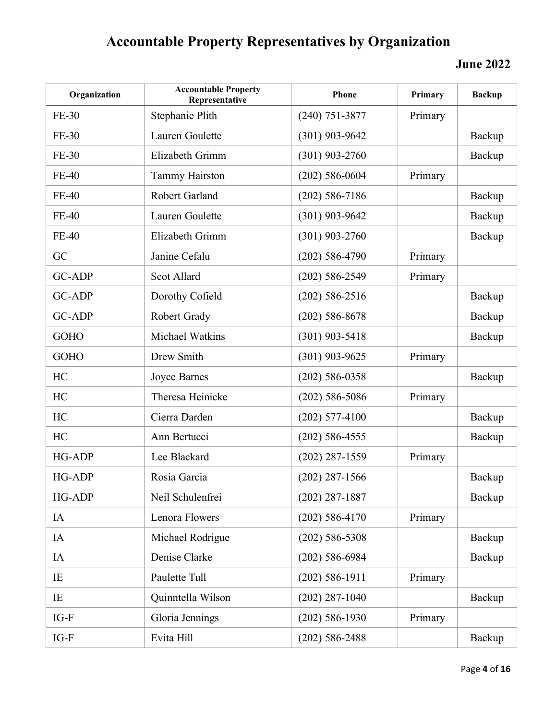| Organization  | <b>Accountable Property</b><br>Representative | Phone              | Primary | <b>Backup</b> |
|---------------|-----------------------------------------------|--------------------|---------|---------------|
| FE-30         | Stephanie Plith                               | $(240)$ 751-3877   | Primary |               |
| FE-30         | Lauren Goulette                               | $(301)$ 903-9642   |         | Backup        |
| FE-30         | Elizabeth Grimm                               | $(301)$ 903-2760   |         | Backup        |
| <b>FE-40</b>  | <b>Tammy Hairston</b>                         | $(202)$ 586-0604   | Primary |               |
| <b>FE-40</b>  | Robert Garland                                | $(202)$ 586-7186   |         | Backup        |
| <b>FE-40</b>  | Lauren Goulette                               | $(301)$ 903-9642   |         | Backup        |
| <b>FE-40</b>  | Elizabeth Grimm                               | $(301)$ 903-2760   |         | Backup        |
| GC            | Janine Cefalu                                 | $(202)$ 586-4790   | Primary |               |
| <b>GC-ADP</b> | Scot Allard                                   | $(202) 586 - 2549$ | Primary |               |
| <b>GC-ADP</b> | Dorothy Cofield                               | $(202)$ 586-2516   |         | Backup        |
| <b>GC-ADP</b> | Robert Grady                                  | $(202)$ 586-8678   |         | Backup        |
| <b>GOHO</b>   | Michael Watkins                               | $(301)$ 903-5418   |         | Backup        |
| <b>GOHO</b>   | Drew Smith                                    | $(301)$ 903-9625   | Primary |               |
| HC            | Joyce Barnes                                  | $(202)$ 586-0358   |         | Backup        |
| HC            | Theresa Heinicke                              | $(202)$ 586-5086   | Primary |               |
| HC            | Cierra Darden                                 | $(202)$ 577-4100   |         | Backup        |
| HC            | Ann Bertucci                                  | $(202)$ 586-4555   |         | Backup        |
| HG-ADP        | Lee Blackard                                  | $(202)$ 287-1559   | Primary |               |
| <b>HG-ADP</b> | Rosia Garcia                                  | $(202)$ 287-1566   |         | Backup        |
| HG-ADP        | Neil Schulenfrei                              | $(202)$ 287-1887   |         | Backup        |
| IA            | Lenora Flowers                                | $(202)$ 586-4170   | Primary |               |
| IA            | Michael Rodrigue                              | $(202)$ 586-5308   |         | Backup        |
| IA            | Denise Clarke                                 | $(202)$ 586-6984   |         | Backup        |
| IE            | Paulette Tull                                 | $(202)$ 586-1911   | Primary |               |
| IE            | Quinntella Wilson                             | $(202)$ 287-1040   |         | Backup        |
| $IG-F$        | Gloria Jennings                               | $(202)$ 586-1930   | Primary |               |
| $IG-F$        | Evita Hill                                    | $(202) 586 - 2488$ |         | Backup        |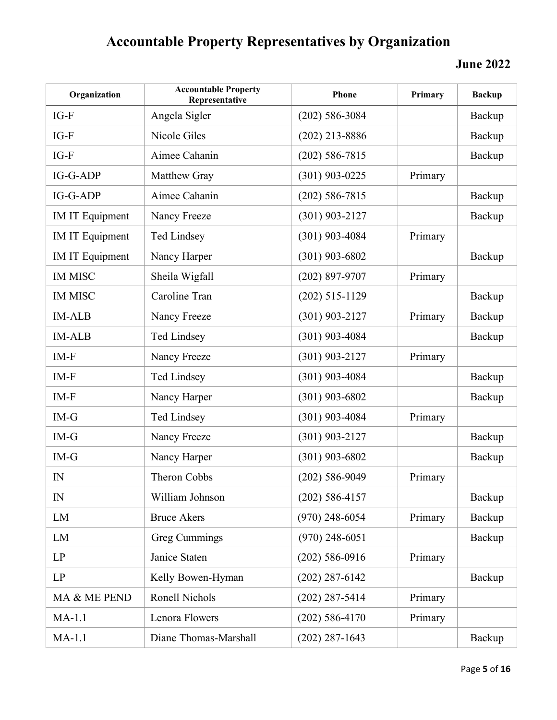| Organization           | <b>Accountable Property</b><br>Representative | Phone              | Primary | <b>Backup</b> |
|------------------------|-----------------------------------------------|--------------------|---------|---------------|
| $IG-F$                 | Angela Sigler                                 | $(202)$ 586-3084   |         | Backup        |
| IG-F                   | Nicole Giles                                  | $(202)$ 213-8886   |         | Backup        |
| IG-F                   | Aimee Cahanin                                 | $(202)$ 586-7815   |         | Backup        |
| IG-G-ADP               | Matthew Gray                                  | $(301)$ 903-0225   | Primary |               |
| $IG-G-ADP$             | Aimee Cahanin                                 | $(202) 586 - 7815$ |         | Backup        |
| <b>IM IT Equipment</b> | Nancy Freeze                                  | $(301)$ 903-2127   |         | Backup        |
| <b>IM IT Equipment</b> | <b>Ted Lindsey</b>                            | $(301)$ 903-4084   | Primary |               |
| <b>IM IT Equipment</b> | Nancy Harper                                  | $(301)$ 903-6802   |         | Backup        |
| <b>IM MISC</b>         | Sheila Wigfall                                | (202) 897-9707     | Primary |               |
| <b>IM MISC</b>         | Caroline Tran                                 | $(202)$ 515-1129   |         | Backup        |
| <b>IM-ALB</b>          | Nancy Freeze                                  | $(301)$ 903-2127   | Primary | Backup        |
| <b>IM-ALB</b>          | <b>Ted Lindsey</b>                            | $(301)$ 903-4084   |         | Backup        |
| $IM-F$                 | Nancy Freeze                                  | $(301)$ 903-2127   | Primary |               |
| IM-F                   | Ted Lindsey                                   | $(301)$ 903-4084   |         | Backup        |
| IM-F                   | Nancy Harper                                  | $(301)$ 903-6802   |         | Backup        |
| $IM-G$                 | <b>Ted Lindsey</b>                            | $(301)$ 903-4084   | Primary |               |
| $IM-G$                 | Nancy Freeze                                  | $(301)$ 903-2127   |         | Backup        |
| $IM-G$                 | Nancy Harper                                  | $(301)$ 903-6802   |         | Backup        |
| $\mathbb{N}$           | Theron Cobbs                                  | $(202)$ 586-9049   | Primary |               |
| IN                     | William Johnson                               | $(202)$ 586-4157   |         | Backup        |
| LM                     | <b>Bruce Akers</b>                            | $(970)$ 248-6054   | Primary | Backup        |
| LM                     | <b>Greg Cummings</b>                          | $(970)$ 248-6051   |         | Backup        |
| LP                     | Janice Staten                                 | $(202)$ 586-0916   | Primary |               |
| LP                     | Kelly Bowen-Hyman                             | $(202)$ 287-6142   |         | Backup        |
| MA & ME PEND           | Ronell Nichols                                | $(202)$ 287-5414   | Primary |               |
| $MA-1.1$               | Lenora Flowers                                | $(202)$ 586-4170   | Primary |               |
| $MA-1.1$               | Diane Thomas-Marshall                         | $(202)$ 287-1643   |         | Backup        |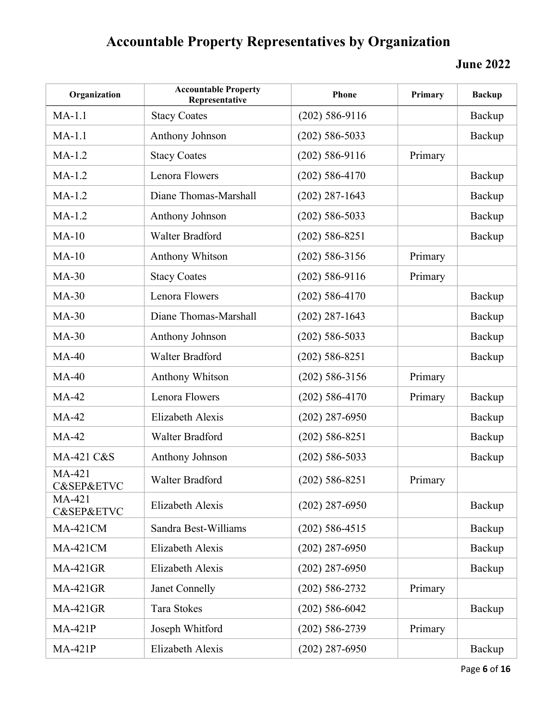| Organization                        | <b>Accountable Property</b><br>Representative | Phone              | Primary | <b>Backup</b> |
|-------------------------------------|-----------------------------------------------|--------------------|---------|---------------|
| $MA-1.1$                            | <b>Stacy Coates</b>                           | $(202)$ 586-9116   |         | Backup        |
| $MA-1.1$                            | Anthony Johnson                               | $(202)$ 586-5033   |         | Backup        |
| $MA-1.2$                            | <b>Stacy Coates</b>                           | $(202)$ 586-9116   | Primary |               |
| $MA-1.2$                            | Lenora Flowers                                | $(202)$ 586-4170   |         | Backup        |
| $MA-1.2$                            | Diane Thomas-Marshall                         | $(202)$ 287-1643   |         | Backup        |
| $MA-1.2$                            | Anthony Johnson                               | $(202)$ 586-5033   |         | Backup        |
| $MA-10$                             | Walter Bradford                               | $(202)$ 586-8251   |         | Backup        |
| $MA-10$                             | <b>Anthony Whitson</b>                        | $(202)$ 586-3156   | Primary |               |
| $MA-30$                             | <b>Stacy Coates</b>                           | $(202)$ 586-9116   | Primary |               |
| $MA-30$                             | Lenora Flowers                                | $(202)$ 586-4170   |         | Backup        |
| $MA-30$                             | Diane Thomas-Marshall                         | $(202)$ 287-1643   |         | Backup        |
| $MA-30$                             | Anthony Johnson                               | $(202)$ 586-5033   |         | Backup        |
| $MA-40$                             | Walter Bradford                               | $(202)$ 586-8251   |         | Backup        |
| $MA-40$                             | Anthony Whitson                               | $(202)$ 586-3156   | Primary |               |
| $MA-42$                             | Lenora Flowers                                | $(202)$ 586-4170   | Primary | Backup        |
| $MA-42$                             | Elizabeth Alexis                              | $(202)$ 287-6950   |         | Backup        |
| <b>MA-42</b>                        | Walter Bradford                               | $(202)$ 586-8251   |         | Backup        |
| MA-421 C&S                          | Anthony Johnson                               | $(202)$ 586-5033   |         | Backup        |
| MA-421<br><b>C&amp;SEP&amp;ETVC</b> | Walter Bradford                               | $(202)$ 586-8251   | Primary |               |
| MA-421<br><b>C&amp;SEP&amp;ETVC</b> | Elizabeth Alexis                              | $(202)$ 287-6950   |         | Backup        |
| <b>MA-421CM</b>                     | Sandra Best-Williams                          | $(202)$ 586-4515   |         | Backup        |
| <b>MA-421CM</b>                     | Elizabeth Alexis                              | $(202)$ 287-6950   |         | Backup        |
| <b>MA-421GR</b>                     | Elizabeth Alexis                              | $(202)$ 287-6950   |         | Backup        |
| <b>MA-421GR</b>                     | Janet Connelly                                | $(202) 586 - 2732$ | Primary |               |
| <b>MA-421GR</b>                     | Tara Stokes                                   | $(202)$ 586-6042   |         | Backup        |
| <b>MA-421P</b>                      | Joseph Whitford                               | $(202) 586 - 2739$ | Primary |               |
| <b>MA-421P</b>                      | Elizabeth Alexis                              | $(202)$ 287-6950   |         | Backup        |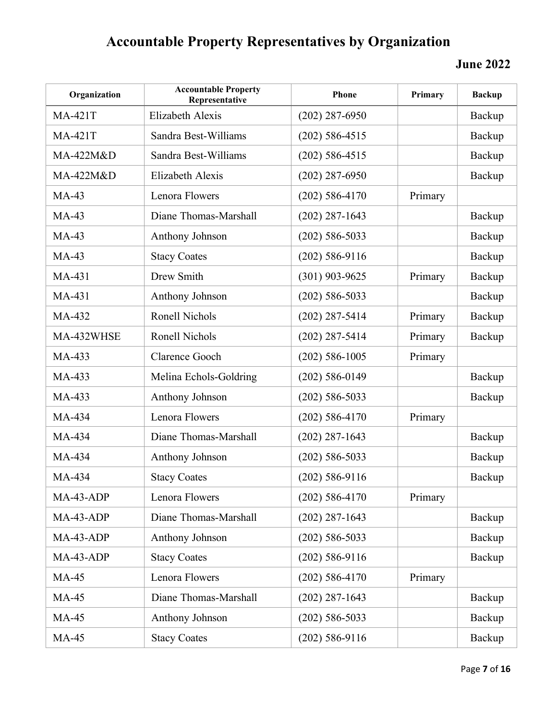| Organization   | <b>Accountable Property</b><br>Representative | Phone              | Primary | <b>Backup</b> |
|----------------|-----------------------------------------------|--------------------|---------|---------------|
| <b>MA-421T</b> | Elizabeth Alexis                              | $(202)$ 287-6950   |         | Backup        |
| <b>MA-421T</b> | Sandra Best-Williams                          | $(202)$ 586-4515   |         | Backup        |
| MA-422M&D      | Sandra Best-Williams                          | $(202)$ 586-4515   |         | Backup        |
| MA-422M&D      | Elizabeth Alexis                              | $(202)$ 287-6950   |         | Backup        |
| $MA-43$        | Lenora Flowers                                | $(202)$ 586-4170   | Primary |               |
| $MA-43$        | Diane Thomas-Marshall                         | $(202)$ 287-1643   |         | Backup        |
| $MA-43$        | Anthony Johnson                               | $(202)$ 586-5033   |         | Backup        |
| $MA-43$        | <b>Stacy Coates</b>                           | $(202)$ 586-9116   |         | Backup        |
| MA-431         | Drew Smith                                    | $(301)$ 903-9625   | Primary | Backup        |
| MA-431         | Anthony Johnson                               | $(202)$ 586-5033   |         | Backup        |
| MA-432         | Ronell Nichols                                | $(202)$ 287-5414   | Primary | Backup        |
| MA-432WHSE     | Ronell Nichols                                | $(202)$ 287-5414   | Primary | Backup        |
| MA-433         | Clarence Gooch                                | $(202)$ 586-1005   | Primary |               |
| MA-433         | Melina Echols-Goldring                        | $(202)$ 586-0149   |         | Backup        |
| MA-433         | Anthony Johnson                               | $(202)$ 586-5033   |         | Backup        |
| MA-434         | Lenora Flowers                                | $(202)$ 586-4170   | Primary |               |
| MA-434         | Diane Thomas-Marshall                         | $(202)$ 287-1643   |         | Backup        |
| MA-434         | Anthony Johnson                               | $(202)$ 586-5033   |         | Backup        |
| MA-434         | <b>Stacy Coates</b>                           | $(202)$ 586-9116   |         | Backup        |
| MA-43-ADP      | Lenora Flowers                                | $(202)$ 586-4170   | Primary |               |
| MA-43-ADP      | Diane Thomas-Marshall                         | $(202)$ 287-1643   |         | Backup        |
| MA-43-ADP      | Anthony Johnson                               | $(202)$ 586-5033   |         | Backup        |
| MA-43-ADP      | <b>Stacy Coates</b>                           | $(202)$ 586-9116   |         | Backup        |
| <b>MA-45</b>   | Lenora Flowers                                | $(202)$ 586-4170   | Primary |               |
| <b>MA-45</b>   | Diane Thomas-Marshall                         | $(202)$ 287-1643   |         | Backup        |
| <b>MA-45</b>   | Anthony Johnson                               | $(202)$ 586-5033   |         | Backup        |
| <b>MA-45</b>   | <b>Stacy Coates</b>                           | $(202) 586 - 9116$ |         | Backup        |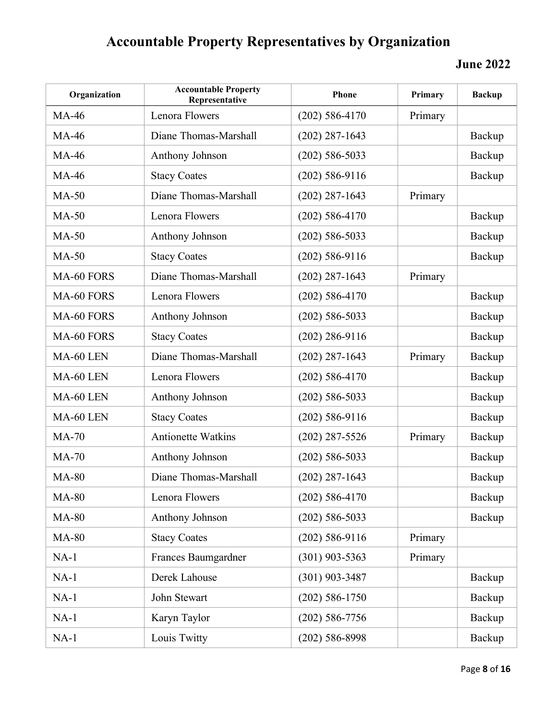| Organization | <b>Accountable Property</b><br>Representative | Phone              | Primary | <b>Backup</b> |
|--------------|-----------------------------------------------|--------------------|---------|---------------|
| <b>MA-46</b> | Lenora Flowers                                | $(202)$ 586-4170   | Primary |               |
| <b>MA-46</b> | Diane Thomas-Marshall                         | $(202)$ 287-1643   |         | Backup        |
| <b>MA-46</b> | Anthony Johnson                               | $(202)$ 586-5033   |         | Backup        |
| <b>MA-46</b> | <b>Stacy Coates</b>                           | $(202)$ 586-9116   |         | Backup        |
| $MA-50$      | Diane Thomas-Marshall                         | $(202)$ 287-1643   | Primary |               |
| $MA-50$      | Lenora Flowers                                | $(202)$ 586-4170   |         | Backup        |
| $MA-50$      | Anthony Johnson                               | $(202)$ 586-5033   |         | Backup        |
| $MA-50$      | <b>Stacy Coates</b>                           | $(202)$ 586-9116   |         | Backup        |
| MA-60 FORS   | Diane Thomas-Marshall                         | $(202)$ 287-1643   | Primary |               |
| MA-60 FORS   | Lenora Flowers                                | $(202)$ 586-4170   |         | Backup        |
| MA-60 FORS   | Anthony Johnson                               | $(202)$ 586-5033   |         | Backup        |
| MA-60 FORS   | <b>Stacy Coates</b>                           | $(202)$ 286-9116   |         | Backup        |
| MA-60 LEN    | Diane Thomas-Marshall                         | $(202)$ 287-1643   | Primary | Backup        |
| MA-60 LEN    | Lenora Flowers                                | $(202)$ 586-4170   |         | Backup        |
| MA-60 LEN    | Anthony Johnson                               | $(202)$ 586-5033   |         | Backup        |
| MA-60 LEN    | <b>Stacy Coates</b>                           | $(202)$ 586-9116   |         | Backup        |
| $MA-70$      | <b>Antionette Watkins</b>                     | $(202)$ 287-5526   | Primary | Backup        |
| $MA-70$      | Anthony Johnson                               | $(202)$ 586-5033   |         | Backup        |
| <b>MA-80</b> | Diane Thomas-Marshall                         | $(202)$ 287-1643   |         | Backup        |
| <b>MA-80</b> | Lenora Flowers                                | $(202)$ 586-4170   |         | Backup        |
| <b>MA-80</b> | Anthony Johnson                               | $(202)$ 586-5033   |         | Backup        |
| <b>MA-80</b> | <b>Stacy Coates</b>                           | $(202)$ 586-9116   | Primary |               |
| $NA-1$       | Frances Baumgardner                           | $(301)$ 903-5363   | Primary |               |
| $NA-1$       | Derek Lahouse                                 | $(301)$ 903-3487   |         | Backup        |
| $NA-1$       | John Stewart                                  | $(202) 586 - 1750$ |         | Backup        |
| $NA-1$       | Karyn Taylor                                  | $(202)$ 586-7756   |         | Backup        |
| $NA-1$       | Louis Twitty                                  | $(202)$ 586-8998   |         | Backup        |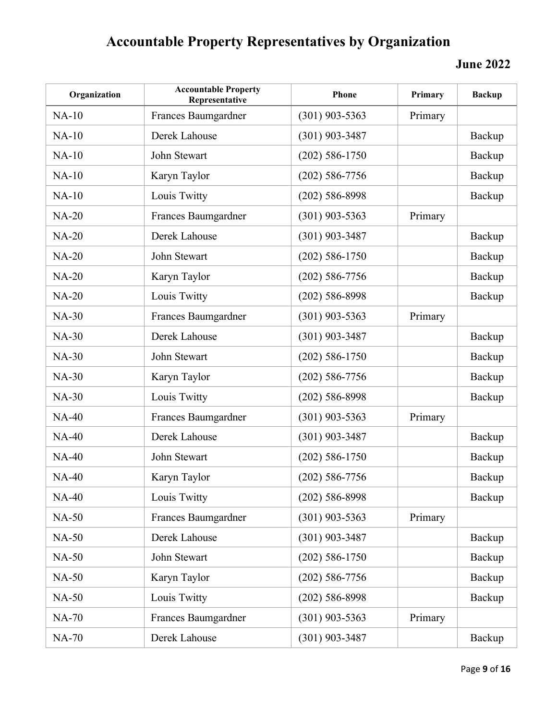| Organization | <b>Accountable Property</b><br>Representative | Phone              | Primary | <b>Backup</b> |
|--------------|-----------------------------------------------|--------------------|---------|---------------|
| $NA-10$      | Frances Baumgardner                           | $(301)$ 903-5363   | Primary |               |
| $NA-10$      | Derek Lahouse                                 | $(301)$ 903-3487   |         | Backup        |
| $NA-10$      | John Stewart                                  | $(202)$ 586-1750   |         | Backup        |
| $NA-10$      | Karyn Taylor                                  | $(202)$ 586-7756   |         | Backup        |
| $NA-10$      | Louis Twitty                                  | $(202)$ 586-8998   |         | Backup        |
| <b>NA-20</b> | Frances Baumgardner                           | $(301)$ 903-5363   | Primary |               |
| <b>NA-20</b> | Derek Lahouse                                 | $(301)$ 903-3487   |         | Backup        |
| <b>NA-20</b> | John Stewart                                  | $(202)$ 586-1750   |         | Backup        |
| <b>NA-20</b> | Karyn Taylor                                  | $(202)$ 586-7756   |         | Backup        |
| <b>NA-20</b> | Louis Twitty                                  | $(202)$ 586-8998   |         | Backup        |
| <b>NA-30</b> | Frances Baumgardner                           | $(301)$ 903-5363   | Primary |               |
| <b>NA-30</b> | Derek Lahouse                                 | $(301)$ 903-3487   |         | Backup        |
| <b>NA-30</b> | John Stewart                                  | $(202) 586 - 1750$ |         | Backup        |
| <b>NA-30</b> | Karyn Taylor                                  | $(202)$ 586-7756   |         | Backup        |
| <b>NA-30</b> | Louis Twitty                                  | $(202)$ 586-8998   |         | Backup        |
| <b>NA-40</b> | Frances Baumgardner                           | $(301)$ 903-5363   | Primary |               |
| <b>NA-40</b> | Derek Lahouse                                 | $(301)$ 903-3487   |         | Backup        |
| $NA-40$      | John Stewart                                  | $(202)$ 586-1750   |         | Backup        |
| $NA-40$      | Karyn Taylor                                  | $(202)$ 586-7756   |         | Backup        |
| <b>NA-40</b> | Louis Twitty                                  | $(202)$ 586-8998   |         | Backup        |
| <b>NA-50</b> | Frances Baumgardner                           | $(301)$ 903-5363   | Primary |               |
| <b>NA-50</b> | Derek Lahouse                                 | $(301)$ 903-3487   |         | Backup        |
| <b>NA-50</b> | John Stewart                                  | $(202)$ 586-1750   |         | Backup        |
| <b>NA-50</b> | Karyn Taylor                                  | $(202)$ 586-7756   |         | Backup        |
| <b>NA-50</b> | Louis Twitty                                  | $(202)$ 586-8998   |         | Backup        |
| <b>NA-70</b> | Frances Baumgardner                           | $(301)$ 903-5363   | Primary |               |
| <b>NA-70</b> | Derek Lahouse                                 | $(301)$ 903-3487   |         | Backup        |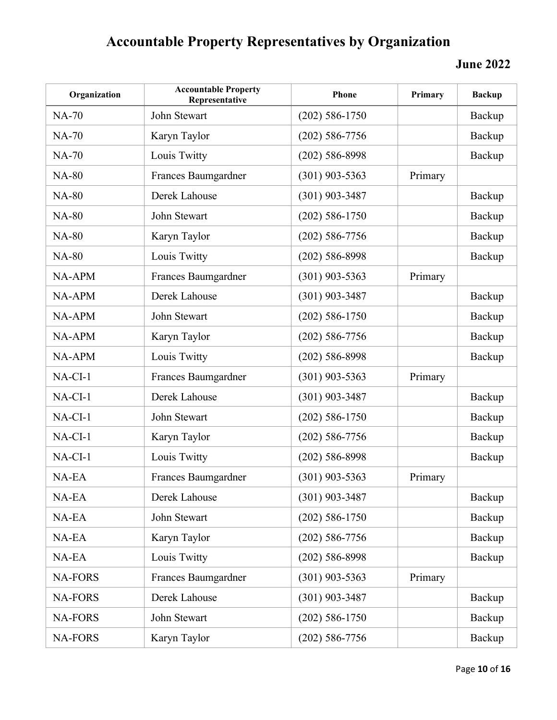| Organization   | <b>Accountable Property</b><br>Representative | Phone              | Primary | <b>Backup</b> |
|----------------|-----------------------------------------------|--------------------|---------|---------------|
| $NA-70$        | John Stewart                                  | $(202)$ 586-1750   |         | Backup        |
| <b>NA-70</b>   | Karyn Taylor                                  | $(202)$ 586-7756   |         | Backup        |
| <b>NA-70</b>   | Louis Twitty                                  | $(202)$ 586-8998   |         | Backup        |
| <b>NA-80</b>   | Frances Baumgardner                           | $(301)$ 903-5363   | Primary |               |
| <b>NA-80</b>   | Derek Lahouse                                 | $(301)$ 903-3487   |         | Backup        |
| <b>NA-80</b>   | John Stewart                                  | $(202) 586 - 1750$ |         | Backup        |
| <b>NA-80</b>   | Karyn Taylor                                  | $(202)$ 586-7756   |         | Backup        |
| <b>NA-80</b>   | Louis Twitty                                  | $(202)$ 586-8998   |         | Backup        |
| NA-APM         | Frances Baumgardner                           | $(301)$ 903-5363   | Primary |               |
| NA-APM         | Derek Lahouse                                 | $(301)$ 903-3487   |         | Backup        |
| NA-APM         | John Stewart                                  | $(202)$ 586-1750   |         | Backup        |
| NA-APM         | Karyn Taylor                                  | $(202)$ 586-7756   |         | Backup        |
| NA-APM         | Louis Twitty                                  | $(202)$ 586-8998   |         | Backup        |
| $NA-CI-1$      | Frances Baumgardner                           | $(301)$ 903-5363   | Primary |               |
| $NA-CI-1$      | Derek Lahouse                                 | $(301)$ 903-3487   |         | Backup        |
| $NA-CI-1$      | John Stewart                                  | $(202)$ 586-1750   |         | Backup        |
| $NA-CI-1$      | Karyn Taylor                                  | $(202)$ 586-7756   |         | Backup        |
| $NA-CI-1$      | Louis Twitty                                  | $(202)$ 586-8998   |         | Backup        |
| NA-EA          | Frances Baumgardner                           | $(301)$ 903-5363   | Primary |               |
| NA-EA          | Derek Lahouse                                 | $(301)$ 903-3487   |         | Backup        |
| NA-EA          | John Stewart                                  | $(202) 586 - 1750$ |         | Backup        |
| NA-EA          | Karyn Taylor                                  | $(202)$ 586-7756   |         | Backup        |
| NA-EA          | Louis Twitty                                  | $(202)$ 586-8998   |         | Backup        |
| <b>NA-FORS</b> | Frances Baumgardner                           | $(301)$ 903-5363   | Primary |               |
| <b>NA-FORS</b> | Derek Lahouse                                 | $(301)$ 903-3487   |         | Backup        |
| <b>NA-FORS</b> | John Stewart                                  | $(202)$ 586-1750   |         | Backup        |
| <b>NA-FORS</b> | Karyn Taylor                                  | $(202) 586 - 7756$ |         | Backup        |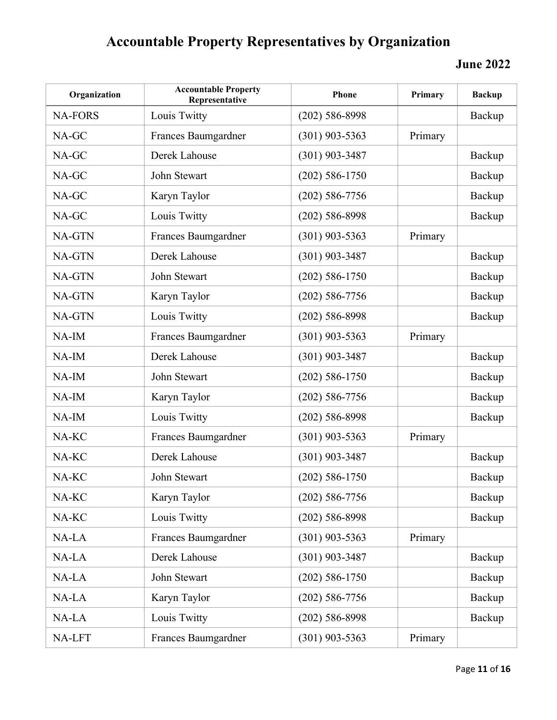| Organization   | <b>Accountable Property</b><br>Representative | Phone            | Primary | <b>Backup</b> |
|----------------|-----------------------------------------------|------------------|---------|---------------|
| <b>NA-FORS</b> | Louis Twitty                                  | $(202)$ 586-8998 |         | Backup        |
| NA-GC          | Frances Baumgardner                           | $(301)$ 903-5363 | Primary |               |
| NA-GC          | Derek Lahouse                                 | $(301)$ 903-3487 |         | Backup        |
| NA-GC          | John Stewart                                  | $(202)$ 586-1750 |         | Backup        |
| NA-GC          | Karyn Taylor                                  | $(202)$ 586-7756 |         | Backup        |
| NA-GC          | Louis Twitty                                  | $(202)$ 586-8998 |         | Backup        |
| NA-GTN         | Frances Baumgardner                           | $(301)$ 903-5363 | Primary |               |
| NA-GTN         | Derek Lahouse                                 | $(301)$ 903-3487 |         | Backup        |
| NA-GTN         | John Stewart                                  | $(202)$ 586-1750 |         | Backup        |
| NA-GTN         | Karyn Taylor                                  | $(202)$ 586-7756 |         | Backup        |
| NA-GTN         | Louis Twitty                                  | $(202)$ 586-8998 |         | Backup        |
| $NA$ -IM       | Frances Baumgardner                           | $(301)$ 903-5363 | Primary |               |
| $NA$ - $IM$    | Derek Lahouse                                 | $(301)$ 903-3487 |         | Backup        |
| $NA$ - $IM$    | John Stewart                                  | $(202)$ 586-1750 |         | Backup        |
| $NA$ - $IM$    | Karyn Taylor                                  | $(202)$ 586-7756 |         | Backup        |
| $NA$ - $IM$    | Louis Twitty                                  | $(202)$ 586-8998 |         | Backup        |
| NA-KC          | Frances Baumgardner                           | $(301)$ 903-5363 | Primary |               |
| NA-KC          | Derek Lahouse                                 | $(301)$ 903-3487 |         | Backup        |
| NA-KC          | John Stewart                                  | $(202)$ 586-1750 |         | Backup        |
| NA-KC          | Karyn Taylor                                  | $(202)$ 586-7756 |         | Backup        |
| NA-KC          | Louis Twitty                                  | $(202)$ 586-8998 |         | Backup        |
| NA-LA          | Frances Baumgardner                           | $(301)$ 903-5363 | Primary |               |
| NA-LA          | Derek Lahouse                                 | $(301)$ 903-3487 |         | Backup        |
| NA-LA          | John Stewart                                  | $(202)$ 586-1750 |         | Backup        |
| NA-LA          | Karyn Taylor                                  | $(202)$ 586-7756 |         | Backup        |
| NA-LA          | Louis Twitty                                  | $(202)$ 586-8998 |         | Backup        |
| NA-LFT         | Frances Baumgardner                           | $(301)$ 903-5363 | Primary |               |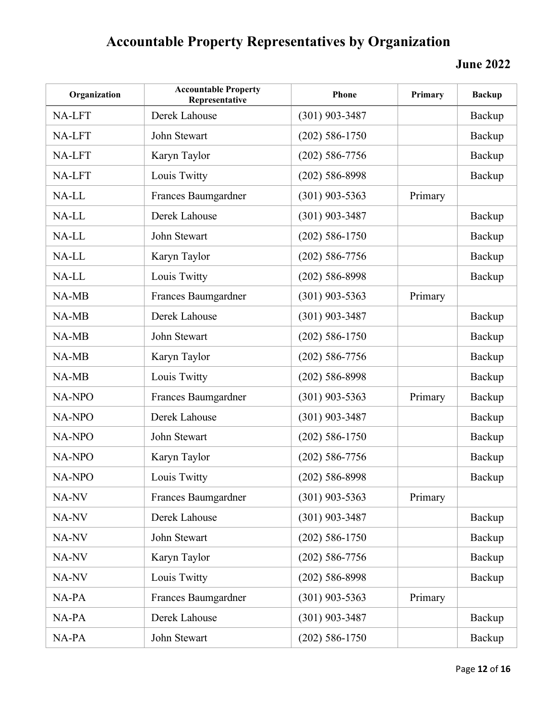| Organization  | <b>Accountable Property</b><br>Representative | Phone              | Primary | <b>Backup</b> |
|---------------|-----------------------------------------------|--------------------|---------|---------------|
| NA-LFT        | Derek Lahouse                                 | $(301)$ 903-3487   |         | Backup        |
| NA-LFT        | John Stewart                                  | $(202)$ 586-1750   |         | Backup        |
| NA-LFT        | Karyn Taylor                                  | $(202)$ 586-7756   |         | Backup        |
| NA-LFT        | Louis Twitty                                  | $(202)$ 586-8998   |         | Backup        |
| NA-LL         | Frances Baumgardner                           | $(301)$ 903-5363   | Primary |               |
| NA-LL         | Derek Lahouse                                 | $(301)$ 903-3487   |         | Backup        |
| NA-LL         | John Stewart                                  | $(202) 586 - 1750$ |         | Backup        |
| NA-LL         | Karyn Taylor                                  | $(202)$ 586-7756   |         | Backup        |
| NA-LL         | Louis Twitty                                  | $(202)$ 586-8998   |         | Backup        |
| NA-MB         | Frances Baumgardner                           | $(301)$ 903-5363   | Primary |               |
| NA-MB         | Derek Lahouse                                 | (301) 903-3487     |         | Backup        |
| NA-MB         | John Stewart                                  | $(202)$ 586-1750   |         | Backup        |
| NA-MB         | Karyn Taylor                                  | $(202)$ 586-7756   |         | Backup        |
| NA-MB         | Louis Twitty                                  | $(202)$ 586-8998   |         | Backup        |
| NA-NPO        | Frances Baumgardner                           | $(301)$ 903-5363   | Primary | Backup        |
| NA-NPO        | Derek Lahouse                                 | $(301)$ 903-3487   |         | Backup        |
| <b>NA-NPO</b> | John Stewart                                  | $(202)$ 586-1750   |         | Backup        |
| NA-NPO        | Karyn Taylor                                  | $(202)$ 586-7756   |         | Backup        |
| NA-NPO        | Louis Twitty                                  | $(202)$ 586-8998   |         | Backup        |
| NA-NV         | Frances Baumgardner                           | $(301)$ 903-5363   | Primary |               |
| NA-NV         | Derek Lahouse                                 | $(301)$ 903-3487   |         | Backup        |
| NA-NV         | John Stewart                                  | $(202) 586 - 1750$ |         | Backup        |
| NA-NV         | Karyn Taylor                                  | $(202)$ 586-7756   |         | Backup        |
| NA-NV         | Louis Twitty                                  | $(202)$ 586-8998   |         | Backup        |
| NA-PA         | Frances Baumgardner                           | $(301)$ 903-5363   | Primary |               |
| NA-PA         | Derek Lahouse                                 | $(301)$ 903-3487   |         | Backup        |
| NA-PA         | John Stewart                                  | $(202) 586 - 1750$ |         | Backup        |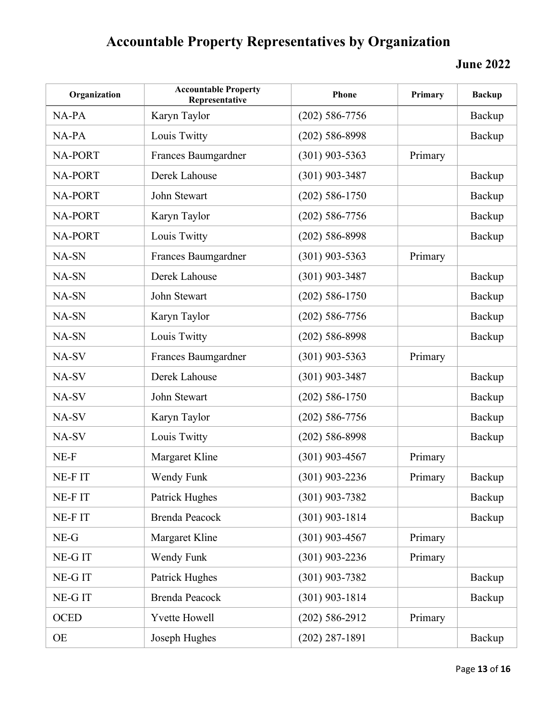| Organization   | <b>Accountable Property</b><br>Representative | Phone              | Primary | <b>Backup</b> |
|----------------|-----------------------------------------------|--------------------|---------|---------------|
| $NA-PA$        | Karyn Taylor                                  | $(202)$ 586-7756   |         | Backup        |
| NA-PA          | Louis Twitty                                  | $(202)$ 586-8998   |         | Backup        |
| <b>NA-PORT</b> | Frances Baumgardner                           | $(301)$ 903-5363   | Primary |               |
| <b>NA-PORT</b> | Derek Lahouse                                 | $(301)$ 903-3487   |         | Backup        |
| <b>NA-PORT</b> | John Stewart                                  | $(202) 586 - 1750$ |         | Backup        |
| <b>NA-PORT</b> | Karyn Taylor                                  | $(202)$ 586-7756   |         | Backup        |
| <b>NA-PORT</b> | Louis Twitty                                  | $(202)$ 586-8998   |         | Backup        |
| NA-SN          | Frances Baumgardner                           | $(301)$ 903-5363   | Primary |               |
| NA-SN          | Derek Lahouse                                 | $(301)$ 903-3487   |         | Backup        |
| NA-SN          | John Stewart                                  | $(202) 586 - 1750$ |         | Backup        |
| NA-SN          | Karyn Taylor                                  | $(202)$ 586-7756   |         | Backup        |
| NA-SN          | Louis Twitty                                  | $(202)$ 586-8998   |         | Backup        |
| NA-SV          | Frances Baumgardner                           | $(301)$ 903-5363   | Primary |               |
| NA-SV          | Derek Lahouse                                 | $(301)$ 903-3487   |         | Backup        |
| NA-SV          | John Stewart                                  | $(202) 586 - 1750$ |         | Backup        |
| NA-SV          | Karyn Taylor                                  | $(202)$ 586-7756   |         | Backup        |
| NA-SV          | Louis Twitty                                  | $(202)$ 586-8998   |         | Backup        |
| NE-F           | Margaret Kline                                | $(301)$ 903-4567   | Primary |               |
| NE-FIT         | Wendy Funk                                    | $(301)$ 903-2236   | Primary | Backup        |
| NE-FIT         | Patrick Hughes                                | $(301)$ 903-7382   |         | Backup        |
| NE-FIT         | <b>Brenda Peacock</b>                         | $(301)$ 903-1814   |         | Backup        |
| $NE-G$         | Margaret Kline                                | $(301)$ 903-4567   | Primary |               |
| NE-GIT         | Wendy Funk                                    | $(301)$ 903-2236   | Primary |               |
| NE-GIT         | Patrick Hughes                                | $(301)$ 903-7382   |         | Backup        |
| NE-GIT         | <b>Brenda Peacock</b>                         | $(301)$ 903-1814   |         | Backup        |
| <b>OCED</b>    | <b>Yvette Howell</b>                          | $(202) 586 - 2912$ | Primary |               |
| OE             | Joseph Hughes                                 | $(202)$ 287-1891   |         | Backup        |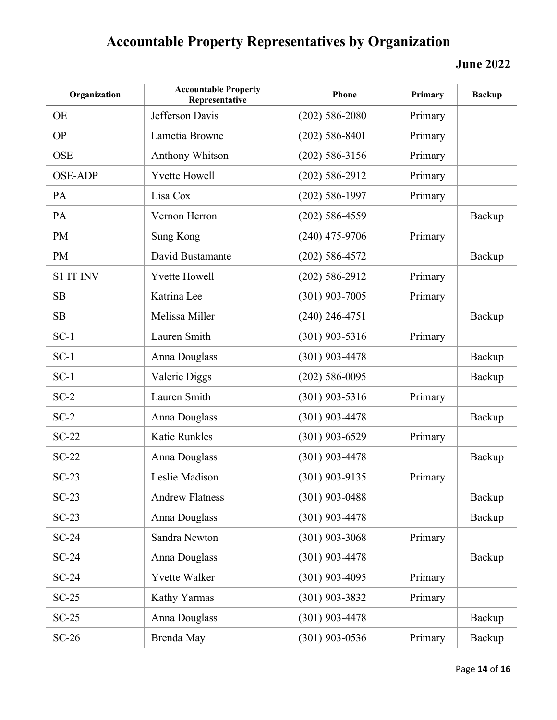| Organization     | <b>Accountable Property</b><br>Representative | Phone            | Primary | <b>Backup</b> |
|------------------|-----------------------------------------------|------------------|---------|---------------|
| <b>OE</b>        | Jefferson Davis                               | $(202)$ 586-2080 | Primary |               |
| <b>OP</b>        | Lametia Browne                                | $(202)$ 586-8401 | Primary |               |
| <b>OSE</b>       | <b>Anthony Whitson</b>                        | $(202)$ 586-3156 | Primary |               |
| <b>OSE-ADP</b>   | <b>Yvette Howell</b>                          | $(202)$ 586-2912 | Primary |               |
| PA               | Lisa Cox                                      | $(202)$ 586-1997 | Primary |               |
| PA               | Vernon Herron                                 | $(202)$ 586-4559 |         | Backup        |
| <b>PM</b>        | Sung Kong                                     | $(240)$ 475-9706 | Primary |               |
| <b>PM</b>        | David Bustamante                              | $(202)$ 586-4572 |         | Backup        |
| <b>S1 IT INV</b> | <b>Yvette Howell</b>                          | $(202)$ 586-2912 | Primary |               |
| SB               | Katrina Lee                                   | $(301)$ 903-7005 | Primary |               |
| SB               | Melissa Miller                                | $(240)$ 246-4751 |         | Backup        |
| $SC-1$           | Lauren Smith                                  | $(301)$ 903-5316 | Primary |               |
| $SC-1$           | Anna Douglass                                 | $(301)$ 903-4478 |         | Backup        |
| $SC-1$           | Valerie Diggs                                 | $(202)$ 586-0095 |         | Backup        |
| $SC-2$           | Lauren Smith                                  | $(301)$ 903-5316 | Primary |               |
| $SC-2$           | Anna Douglass                                 | $(301)$ 903-4478 |         | Backup        |
| $SC-22$          | Katie Runkles                                 | $(301)$ 903-6529 | Primary |               |
| $SC-22$          | Anna Douglass                                 | $(301)$ 903-4478 |         | Backup        |
| $SC-23$          | Leslie Madison                                | (301) 903-9135   | Primary |               |
| $SC-23$          | <b>Andrew Flatness</b>                        | $(301)$ 903-0488 |         | Backup        |
| $SC-23$          | Anna Douglass                                 | $(301)$ 903-4478 |         | Backup        |
| $SC-24$          | Sandra Newton                                 | $(301)$ 903-3068 | Primary |               |
| $SC-24$          | Anna Douglass                                 | $(301)$ 903-4478 |         | Backup        |
| $SC-24$          | <b>Yvette Walker</b>                          | $(301)$ 903-4095 | Primary |               |
| $SC-25$          | Kathy Yarmas                                  | $(301)$ 903-3832 | Primary |               |
| $SC-25$          | Anna Douglass                                 | $(301)$ 903-4478 |         | Backup        |
| $SC-26$          | Brenda May                                    | $(301)$ 903-0536 | Primary | Backup        |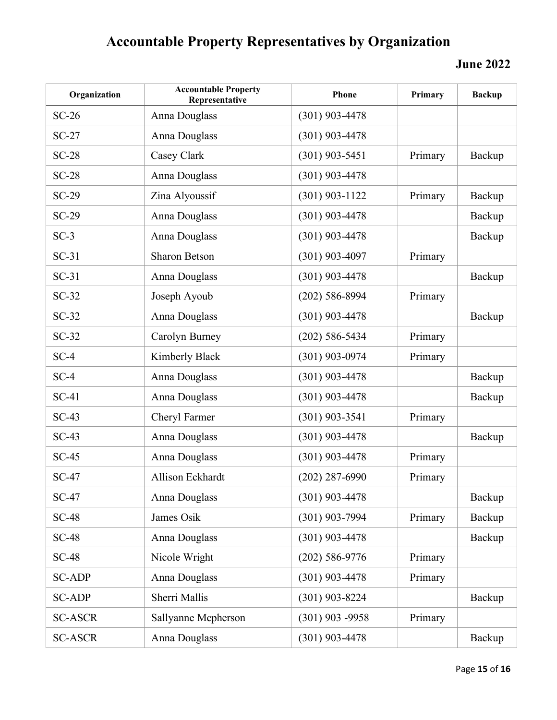| Organization   | <b>Accountable Property</b><br>Representative | Phone             | Primary | <b>Backup</b> |
|----------------|-----------------------------------------------|-------------------|---------|---------------|
| $SC-26$        | Anna Douglass                                 | $(301)$ 903-4478  |         |               |
| $SC-27$        | Anna Douglass                                 | $(301)$ 903-4478  |         |               |
| $SC-28$        | Casey Clark                                   | $(301)$ 903-5451  | Primary | Backup        |
| $SC-28$        | Anna Douglass                                 | $(301)$ 903-4478  |         |               |
| $SC-29$        | Zina Alyoussif                                | $(301)$ 903-1122  | Primary | Backup        |
| $SC-29$        | Anna Douglass                                 | $(301)$ 903-4478  |         | Backup        |
| $SC-3$         | Anna Douglass                                 | $(301)$ 903-4478  |         | Backup        |
| $SC-31$        | <b>Sharon Betson</b>                          | $(301)$ 903-4097  | Primary |               |
| $SC-31$        | Anna Douglass                                 | $(301)$ 903-4478  |         | Backup        |
| $SC-32$        | Joseph Ayoub                                  | $(202)$ 586-8994  | Primary |               |
| $SC-32$        | Anna Douglass                                 | $(301)$ 903-4478  |         | Backup        |
| $SC-32$        | Carolyn Burney                                | $(202)$ 586-5434  | Primary |               |
| $SC-4$         | Kimberly Black                                | $(301)$ 903-0974  | Primary |               |
| $SC-4$         | Anna Douglass                                 | $(301)$ 903-4478  |         | Backup        |
| $SC-41$        | Anna Douglass                                 | $(301)$ 903-4478  |         | Backup        |
| $SC-43$        | Cheryl Farmer                                 | $(301)$ 903-3541  | Primary |               |
| $SC-43$        | Anna Douglass                                 | $(301)$ 903-4478  |         | Backup        |
| $SC-45$        | Anna Douglass                                 | $(301)$ 903-4478  | Primary |               |
| $SC-47$        | Allison Eckhardt                              | $(202)$ 287-6990  | Primary |               |
| <b>SC-47</b>   | Anna Douglass                                 | $(301)$ 903-4478  |         | Backup        |
| $SC-48$        | James Osik                                    | $(301)$ 903-7994  | Primary | Backup        |
| $SC-48$        | Anna Douglass                                 | $(301)$ 903-4478  |         | Backup        |
| $SC-48$        | Nicole Wright                                 | $(202)$ 586-9776  | Primary |               |
| <b>SC-ADP</b>  | Anna Douglass                                 | $(301)$ 903-4478  | Primary |               |
| <b>SC-ADP</b>  | Sherri Mallis                                 | $(301)$ 903-8224  |         | Backup        |
| <b>SC-ASCR</b> | Sallyanne Mcpherson                           | $(301)$ 903 -9958 | Primary |               |
| <b>SC-ASCR</b> | Anna Douglass                                 | $(301)$ 903-4478  |         | Backup        |